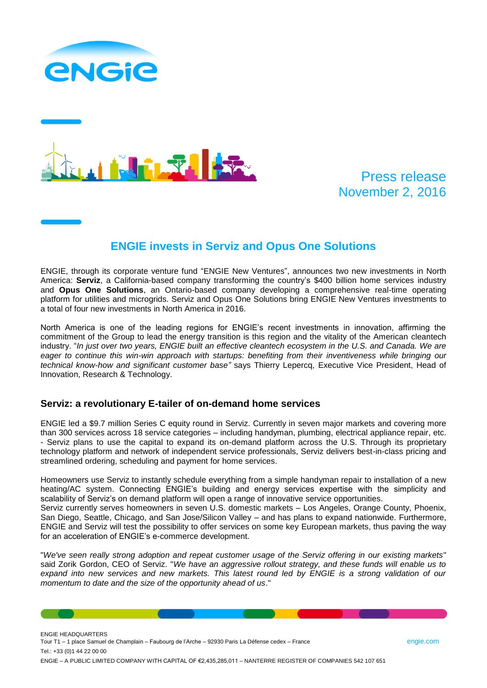



# Press release November 2, 2016

# **ENGIE invests in Serviz and Opus One Solutions**

ENGIE, through its corporate venture fund "ENGIE New Ventures", announces two new investments in North America: **Serviz**, a California-based company transforming the country's \$400 billion home services industry and **Opus One Solutions**, an Ontario-based company developing a comprehensive real-time operating platform for utilities and microgrids. Serviz and Opus One Solutions bring ENGIE New Ventures investments to a total of four new investments in North America in 2016.

North America is one of the leading regions for ENGIE's recent investments in innovation, affirming the commitment of the Group to lead the energy transition is this region and the vitality of the American cleantech industry. "*In just over two years, ENGIE built an effective cleantech ecosystem in the U.S. and Canada. We are eager to continue this win-win approach with startups: benefiting from their inventiveness while bringing our technical know-how and significant customer base"* says Thierry Lepercq, Executive Vice President, Head of Innovation, Research & Technology.

## **Serviz: a revolutionary E-tailer of on-demand home services**

ENGIE led a \$9.7 million Series C equity round in Serviz. Currently in seven major markets and covering more than 300 services across 18 service categories – including handyman, plumbing, electrical appliance repair, etc. - Serviz plans to use the capital to expand its on-demand platform across the U.S. Through its proprietary technology platform and network of independent service professionals, Serviz delivers best-in-class pricing and streamlined ordering, scheduling and payment for home services.

Homeowners use Serviz to instantly schedule everything from a simple handyman repair to installation of a new heating/AC system. Connecting ENGIE's building and energy services expertise with the simplicity and scalability of Serviz's on demand platform will open a range of innovative service opportunities. Serviz currently serves homeowners in seven U.S. domestic markets – Los Angeles, Orange County, Phoenix,

San Diego, Seattle, Chicago, and San Jose/Silicon Valley – and has plans to expand nationwide. Furthermore, ENGIE and Serviz will test the possibility to offer services on some key European markets, thus paving the way for an acceleration of ENGIE's e-commerce development.

"*We've seen really strong adoption and repeat customer usage of the Serviz offering in our existing markets*" said Zorik Gordon, CEO of Serviz. "*We have an aggressive rollout strategy, and these funds will enable us to*  expand into new services and new markets. This latest round led by ENGIE is a strong validation of our *momentum to date and the size of the opportunity ahead of us*."

ENGIE HEADQUARTERS Tour T1 – 1 place Samuel de Champlain – Faubourg de l'Arche – 92930 Paris La Défense cedex – France engie.com engie.com Tel.: +33 (0)1 44 22 00 00 ENGIE – A PUBLIC LIMITED COMPANY WITH CAPITAL OF €2,435,285,011 – NANTERRE REGISTER OF COMPANIES 542 107 651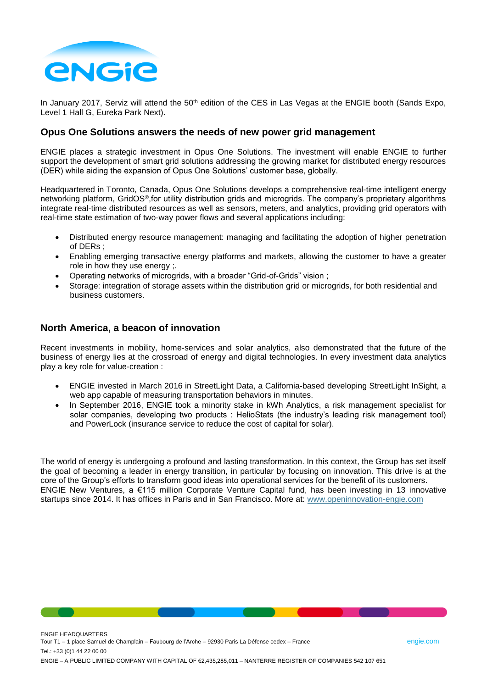

In January 2017, Serviz will attend the 50<sup>th</sup> edition of the CES in Las Vegas at the ENGIE booth (Sands Expo, Level 1 Hall G, Eureka Park Next).

### **Opus One Solutions answers the needs of new power grid management**

ENGIE places a strategic investment in Opus One Solutions. The investment will enable ENGIE to further support the development of smart grid solutions addressing the growing market for distributed energy resources (DER) while aiding the expansion of Opus One Solutions' customer base, globally.

Headquartered in Toronto, Canada, Opus One Solutions develops a comprehensive real-time intelligent energy networking platform, GridOS®,for utility distribution grids and microgrids. The company's proprietary algorithms integrate real-time distributed resources as well as sensors, meters, and analytics, providing grid operators with real-time state estimation of two-way power flows and several applications including:

- Distributed energy resource management: managing and facilitating the adoption of higher penetration of DERs ;
- Enabling emerging transactive energy platforms and markets, allowing the customer to have a greater role in how they use energy ;.
- Operating networks of microgrids, with a broader "Grid-of-Grids" vision ;
- Storage: integration of storage assets within the distribution grid or microgrids, for both residential and business customers.

### **North America, a beacon of innovation**

ENGIE HEADQUARTERS

Recent investments in mobility, home-services and solar analytics, also demonstrated that the future of the business of energy lies at the crossroad of energy and digital technologies. In every investment data analytics play a key role for value-creation :

- ENGIE invested in March 2016 in StreetLight Data, a California-based developing StreetLight InSight, a web app capable of measuring transportation behaviors in minutes.
- In September 2016, ENGIE took a minority stake in kWh Analytics, a risk management specialist for solar companies, developing two products : HelioStats (the industry's leading risk management tool) and PowerLock (insurance service to reduce the cost of capital for solar).

The world of energy is undergoing a profound and lasting transformation. In this context, the Group has set itself the goal of becoming a leader in energy transition, in particular by focusing on innovation. This drive is at the core of the Group's efforts to transform good ideas into operational services for the benefit of its customers. ENGIE New Ventures, a €115 million Corporate Venture Capital fund, has been investing in 13 innovative startups since 2014. It has offices in Paris and in San Francisco. More at: [www.openinnovation-engie.com](http://www.openinnovation-engie.com/)